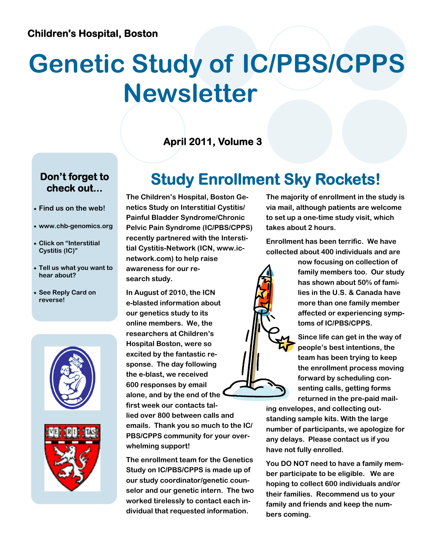# **Genetic Study of IC/PBS/CPPS Newsletter**

#### **April 2011, Volume 3**

#### **Don't forget to check out...**

- **Find us on the web!**
- **www.chb-genomics.org**
- **Click on "Interstitial Cystitis (IC)"**
- **Tell us what you want to hear about?**
- **See Reply Card on reverse!**





## **Study Enrollment Sky Rockets!**

**The Children's Hospital, Boston Genetics Study on Interstitial Cystitis/ Painful Bladder Syndrome/Chronic Pelvic Pain Syndrome (IC/PBS/CPPS) recently partnered with the Interstitial Cystitis-Network (ICN, www.icnetwork.com) to help raise awareness for our research study.** 

**In August of 2010, the ICN e-blasted information about our genetics study to its online members. We, the researchers at Children's Hospital Boston, were so excited by the fantastic response. The day following the e-blast, we received 600 responses by email alone, and by the end of the first week our contacts tal-**

**lied over 800 between calls and emails. Thank you so much to the IC/ PBS/CPPS community for your overwhelming support!** 

**The enrollment team for the Genetics Study on IC/PBS/CPPS is made up of our study coordinator/genetic counselor and our genetic intern. The two worked tirelessly to contact each individual that requested information.** 

**The majority of enrollment in the study is via mail, although patients are welcome to set up a one-time study visit, which takes about 2 hours.** 

**Enrollment has been terrific. We have collected about 400 individuals and are** 

> **now focusing on collection of family members too. Our study has shown about 50% of families in the U.S. & Canada have more than one family member affected or experiencing symptoms of IC/PBS/CPPS.**

**Since life can get in the way of people's best intentions, the team has been trying to keep the enrollment process moving forward by scheduling consenting calls, getting forms returned in the pre-paid mail-**

**ing envelopes, and collecting outstanding sample kits. With the large number of participants, we apologize for any delays. Please contact us if you have not fully enrolled.** 

**You DO NOT need to have a family member participate to be eligible. We are hoping to collect 600 individuals and/or their families. Recommend us to your family and friends and keep the numbers coming.**